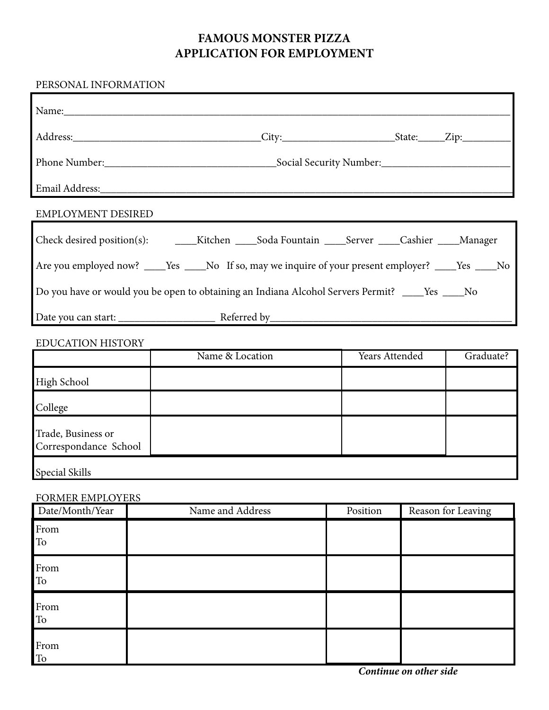## **FAMOUS MONSTER PIZZA APPLICATION FOR EMPLOYMENT**

## PERSONAL INFORMATION

| Name: Name and the state of the state of the state of the state of the state of the state of the state of the state of the state of the state of the state of the state of the state of the state of the state of the state of |  |                  |          |                |                    |  |  |  |
|--------------------------------------------------------------------------------------------------------------------------------------------------------------------------------------------------------------------------------|--|------------------|----------|----------------|--------------------|--|--|--|
|                                                                                                                                                                                                                                |  |                  |          |                |                    |  |  |  |
|                                                                                                                                                                                                                                |  |                  |          |                |                    |  |  |  |
|                                                                                                                                                                                                                                |  |                  |          |                |                    |  |  |  |
| EMPLOYMENT DESIRED                                                                                                                                                                                                             |  |                  |          |                |                    |  |  |  |
|                                                                                                                                                                                                                                |  |                  |          |                |                    |  |  |  |
| Are you employed now? ____Yes ____No If so, may we inquire of your present employer? ____Yes ___No                                                                                                                             |  |                  |          |                |                    |  |  |  |
| Do you have or would you be open to obtaining an Indiana Alcohol Servers Permit? ____ Yes ____ No                                                                                                                              |  |                  |          |                |                    |  |  |  |
|                                                                                                                                                                                                                                |  |                  |          |                |                    |  |  |  |
| <b>EDUCATION HISTORY</b>                                                                                                                                                                                                       |  |                  |          |                |                    |  |  |  |
|                                                                                                                                                                                                                                |  | Name & Location  |          | Years Attended |                    |  |  |  |
| <b>High School</b>                                                                                                                                                                                                             |  |                  |          |                |                    |  |  |  |
| College                                                                                                                                                                                                                        |  |                  |          |                |                    |  |  |  |
| Trade, Business or<br>Correspondance School                                                                                                                                                                                    |  |                  |          |                |                    |  |  |  |
| <b>Special Skills</b>                                                                                                                                                                                                          |  |                  |          |                |                    |  |  |  |
| FORMER EMPLOYERS                                                                                                                                                                                                               |  |                  |          |                |                    |  |  |  |
| Date/Month/Year                                                                                                                                                                                                                |  | Name and Address | Position |                | Reason for Leaving |  |  |  |
| From<br>To                                                                                                                                                                                                                     |  |                  |          |                |                    |  |  |  |
| From<br>To                                                                                                                                                                                                                     |  |                  |          |                |                    |  |  |  |
| From<br>${\rm To}$                                                                                                                                                                                                             |  |                  |          |                |                    |  |  |  |
| From<br>To                                                                                                                                                                                                                     |  |                  |          |                |                    |  |  |  |